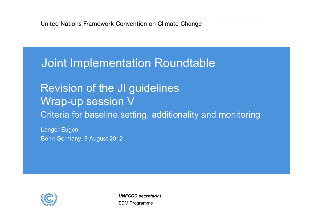## Joint Implementation Roundtable

## Revision of the JI guidelines Wrap-up session V Criteria for baseline setting, additionality and monitoring

Langer Eugen Bonn Germany, 9 August 2012



SDM Programme *UNFCCC secretariat*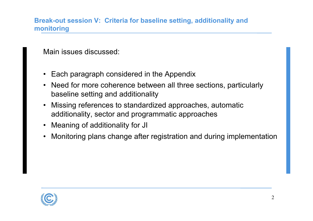**Break-out session V: Criteria for baseline setting, additionality and monitoring**

Main issues discussed:

- Each paragraph considered in the Appendix
- • Need for more coherence between all three sections, particularly baseline setting and additionality
- • Missing references to standardized approaches, automatic additionality, sector and programmatic approaches
- Meaning of additionality for JI
- •Monitoring plans change after registration and during implementation

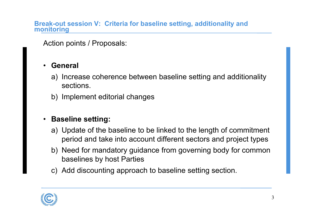**Break-out session V: Criteria for baseline setting, additionality and monitoring**

Action points / Proposals:

#### •**General**

- a) Increase coherence between baseline setting and additionality sections.
- b) Implement editorial changes

### • **Baseline setting:**

- a) Update of the baseline to be linked to the length of commitment period and take into account different sectors and project types
- b) Need for mandatory guidance from governing body for common baselines by host Parties
- c) Add discounting approach to baseline setting section.